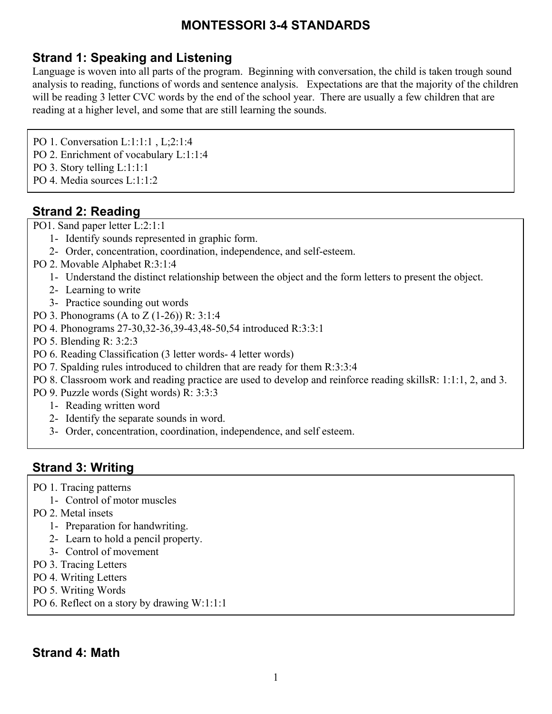## **Strand 1: Speaking and Listening**

Language is woven into all parts of the program. Beginning with conversation, the child is taken trough sound analysis to reading, functions of words and sentence analysis. Expectations are that the majority of the children will be reading 3 letter CVC words by the end of the school year. There are usually a few children that are reading at a higher level, and some that are still learning the sounds.

PO 1. Conversation L:1:1:1 , L;2:1:4

- PO 2. Enrichment of vocabulary L:1:1:4
- PO 3. Story telling L:1:1:1
- PO 4. Media sources L:1:1:2

### **Strand 2: Reading**

PO1. Sand paper letter L:2:1:1

- 1- Identify sounds represented in graphic form.
- 2- Order, concentration, coordination, independence, and self-esteem.
- PO 2. Movable Alphabet R:3:1:4
	- 1- Understand the distinct relationship between the object and the form letters to present the object.
	- 2- Learning to write
	- 3- Practice sounding out words
- PO 3. Phonograms (A to Z (1-26)) R: 3:1:4
- PO 4. Phonograms 27-30,32-36,39-43,48-50,54 introduced R:3:3:1
- PO 5. Blending R: 3:2:3
- PO 6. Reading Classification (3 letter words- 4 letter words)
- PO 7. Spalding rules introduced to children that are ready for them R:3:3:4
- PO 8. Classroom work and reading practice are used to develop and reinforce reading skillsR: 1:1:1, 2, and 3.
- PO 9. Puzzle words (Sight words) R: 3:3:3
	- 1- Reading written word
	- 2- Identify the separate sounds in word.
	- 3- Order, concentration, coordination, independence, and self esteem.

#### **Strand 3: Writing**

- PO 1. Tracing patterns
	- 1- Control of motor muscles
- PO 2. Metal insets
	- 1- Preparation for handwriting.
	- 2- Learn to hold a pencil property.
	- 3- Control of movement
- PO 3. Tracing Letters
- PO 4. Writing Letters
- PO 5. Writing Words
- PO 6. Reflect on a story by drawing W:1:1:1

## **Strand 4: Math**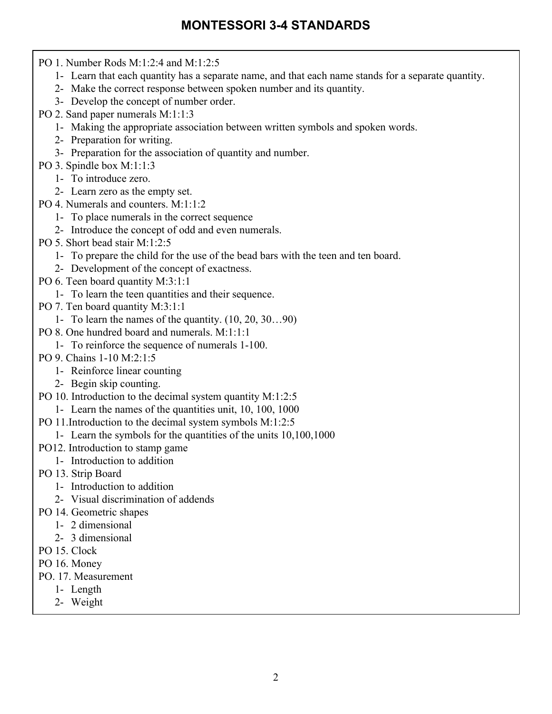PO 1. Number Rods M:1:2:4 and M:1:2:5 1- Learn that each quantity has a separate name, and that each name stands for a separate quantity. 2- Make the correct response between spoken number and its quantity. 3- Develop the concept of number order. PO 2. Sand paper numerals M:1:1:3 1- Making the appropriate association between written symbols and spoken words. 2- Preparation for writing. 3- Preparation for the association of quantity and number. PO 3. Spindle box M:1:1:3 1- To introduce zero. 2- Learn zero as the empty set. PO 4. Numerals and counters. M:1:1:2 1- To place numerals in the correct sequence 2- Introduce the concept of odd and even numerals. PO 5. Short bead stair M:1:2:5 1- To prepare the child for the use of the bead bars with the teen and ten board. 2- Development of the concept of exactness. PO 6. Teen board quantity M:3:1:1 1- To learn the teen quantities and their sequence. PO 7. Ten board quantity M:3:1:1 1- To learn the names of the quantity. (10, 20, 30…90) PO 8. One hundred board and numerals. M:1:1:1 1- To reinforce the sequence of numerals 1-100. PO 9. Chains 1-10 M:2:1:5 1- Reinforce linear counting 2- Begin skip counting. PO 10. Introduction to the decimal system quantity M:1:2:5 1- Learn the names of the quantities unit, 10, 100, 1000 PO 11.Introduction to the decimal system symbols M:1:2:5 1- Learn the symbols for the quantities of the units 10,100,1000 PO12. Introduction to stamp game 1- Introduction to addition PO 13. Strip Board 1- Introduction to addition 2- Visual discrimination of addends PO 14. Geometric shapes 1- 2 dimensional 2- 3 dimensional PO 15. Clock PO 16. Money PO. 17. Measurement 1- Length 2- Weight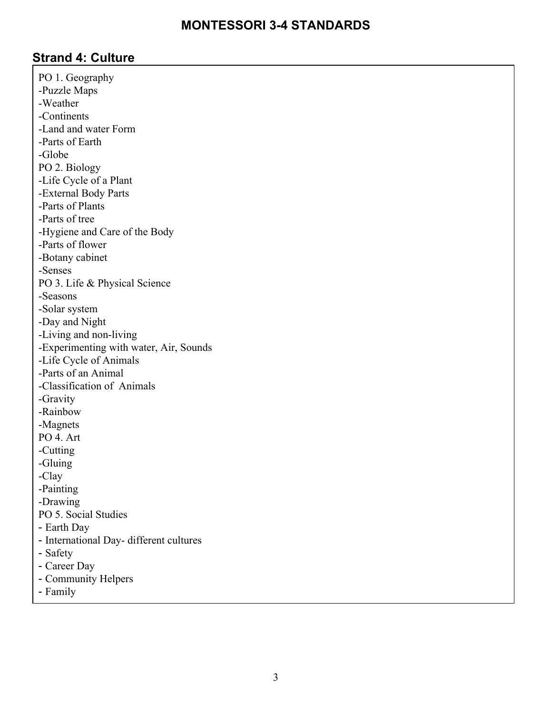#### **Strand 4: Culture**

PO 1. Geography -Puzzle Maps -Weather -Continents -Land and water Form -Parts of Earth -Globe PO 2. Biology -Life Cycle of a Plant -External Body Parts -Parts of Plants -Parts of tree -Hygiene and Care of the Body -Parts of flower -Botany cabinet -Senses PO 3. Life & Physical Science -Seasons -Solar system -Day and Night -Living and non-living -Experimenting with water, Air, Sounds -Life Cycle of Animals -Parts of an Animal -Classification of Animals -Gravity -Rainbow -Magnets PO 4. Art -Cutting -Gluing -Clay -Painting -Drawing PO 5. Social Studies - Earth Day - International Day- different cultures - Safety - Career Day - Community Helpers

- Family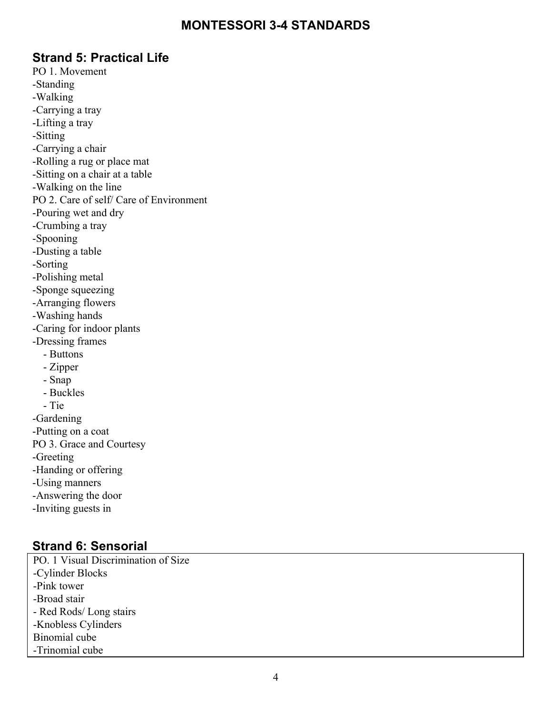#### **Strand 5: Practical Life**

PO 1. Movement -Standing -Walking -Carrying a tray -Lifting a tray -Sitting -Carrying a chair -Rolling a rug or place mat -Sitting on a chair at a table -Walking on the line PO 2. Care of self/ Care of Environment -Pouring wet and dry -Crumbing a tray -Spooning -Dusting a table -Sorting -Polishing metal -Sponge squeezing -Arranging flowers -Washing hands -Caring for indoor plants -Dressing frames - Buttons - Zipper - Snap - Buckles - Tie -Gardening -Putting on a coat PO 3. Grace and Courtesy -Greeting -Handing or offering -Using manners -Answering the door -Inviting guests in

#### **Strand 6: Sensorial**

PO. 1 Visual Discrimination of Size -Cylinder Blocks -Pink tower -Broad stair - Red Rods/ Long stairs -Knobless Cylinders Binomial cube -Trinomial cube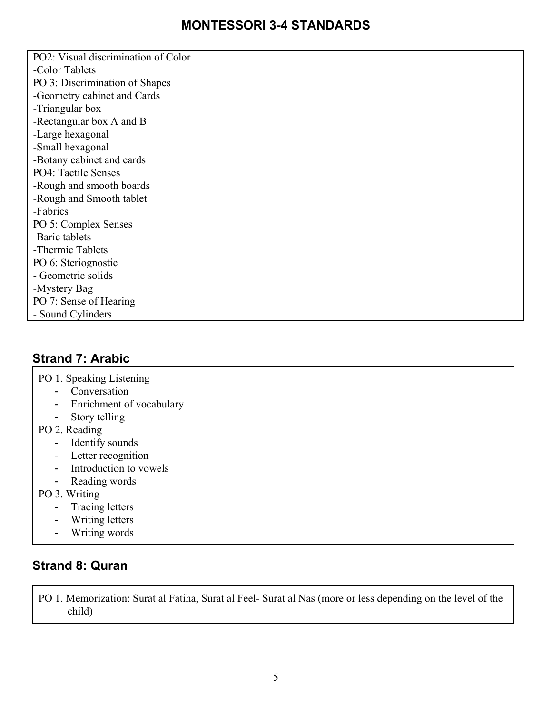PO2: Visual discrimination of Color -Color Tablets PO 3: Discrimination of Shapes -Geometry cabinet and Cards -Triangular box -Rectangular box A and B -Large hexagonal -Small hexagonal -Botany cabinet and cards PO4: Tactile Senses -Rough and smooth boards -Rough and Smooth tablet -Fabrics PO 5: Complex Senses -Baric tablets -Thermic Tablets PO 6: Steriognostic - Geometric solids -Mystery Bag PO 7: Sense of Hearing - Sound Cylinders

### **Strand 7: Arabic**

PO 1. Speaking Listening

- Conversation
- Enrichment of vocabulary
- Story telling
- PO 2. Reading
	- Identify sounds
	- Letter recognition
	- Introduction to vowels
	- Reading words
- PO 3. Writing
	- Tracing letters
	- Writing letters
	- Writing words

#### **Strand 8: Quran**

PO 1. Memorization: Surat al Fatiha, Surat al Feel- Surat al Nas (more or less depending on the level of the child)